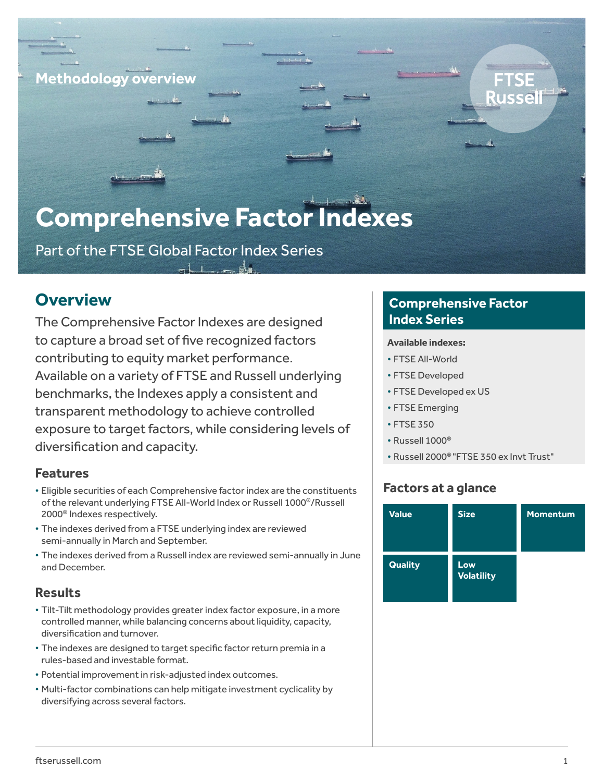### **Methodology overview**

# **Comprehensive Factor Indexes**

Part of the FTSE Global Factor Index Series

# **Overview**

The Comprehensive Factor Indexes are designed to capture a broad set of five recognized factors contributing to equity market performance. Available on a variety of FTSE and Russell underlying benchmarks, the Indexes apply a consistent and transparent methodology to achieve controlled exposure to target factors, while considering levels of diversification and capacity.

### **Features**

- Eligible securities of each Comprehensive factor index are the constituents of the relevant underlying FTSE All-World Index or Russell 1000®/Russell 2000® Indexes respectively.
- The indexes derived from a FTSE underlying index are reviewed semi-annually in March and September.
- The indexes derived from a Russell index are reviewed semi-annually in June and December.

### **Results**

- Tilt-Tilt methodology provides greater index factor exposure, in a more controlled manner, while balancing concerns about liquidity, capacity, diversification and turnover.
- The indexes are designed to target specific factor return premia in a rules-based and investable format.
- Potential improvement in risk-adjusted index outcomes.
- Multi-factor combinations can help mitigate investment cyclicality by diversifying across several factors.

### **Comprehensive Factor Index Series**

#### **Available indexes:**

- FTSE All-World
- FTSE Developed
- FTSE Developed ex US
- FTSE Emerging
- FTSE 350
- Russell 1000®
- Russell 2000® "FTSE 350 ex Invt Trust"

### **Factors at a glance**

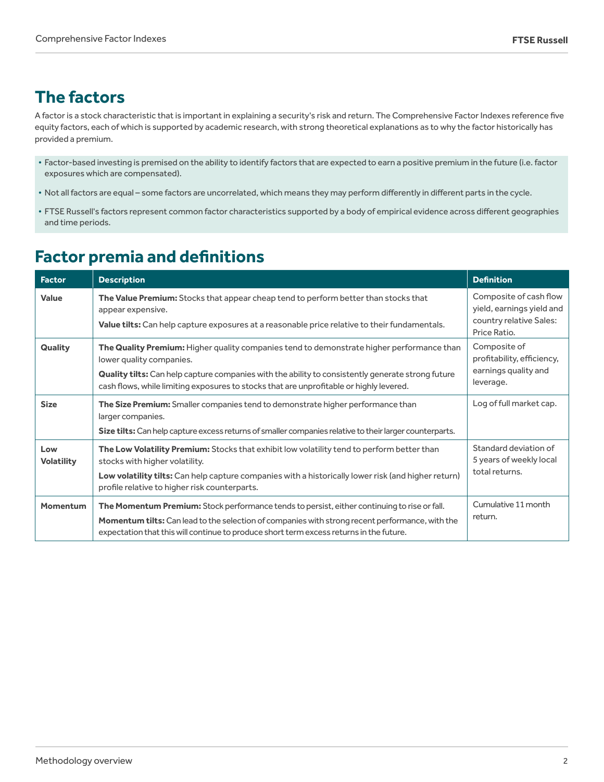# **The factors**

A factor is a stock characteristic that is important in explaining a security's risk and return. The Comprehensive Factor Indexes reference five equity factors, each of which is supported by academic research, with strong theoretical explanations as to why the factor historically has provided a premium.

- Factor-based investing is premised on the ability to identify factors that are expected to earn a positive premium in the future (i.e. factor exposures which are compensated).
- Not all factors are equal some factors are uncorrelated, which means they may perform differently in different parts in the cycle.
- FTSE Russell's factors represent common factor characteristics supported by a body of empirical evidence across different geographies and time periods.

# **Factor premia and definitions**

| <b>Factor</b>            | <b>Description</b>                                                                                                                                                                                                                                                                                                    | <b>Definition</b>                                                                              |
|--------------------------|-----------------------------------------------------------------------------------------------------------------------------------------------------------------------------------------------------------------------------------------------------------------------------------------------------------------------|------------------------------------------------------------------------------------------------|
| <b>Value</b>             | The Value Premium: Stocks that appear cheap tend to perform better than stocks that<br>appear expensive.<br>Value tilts: Can help capture exposures at a reasonable price relative to their fundamentals.                                                                                                             | Composite of cash flow<br>yield, earnings yield and<br>country relative Sales:<br>Price Ratio. |
| Quality                  | The Quality Premium: Higher quality companies tend to demonstrate higher performance than<br>lower quality companies.<br>Quality tilts: Can help capture companies with the ability to consistently generate strong future<br>cash flows, while limiting exposures to stocks that are unprofitable or highly levered. | Composite of<br>profitability, efficiency,<br>earnings quality and<br>leverage.                |
| <b>Size</b>              | The Size Premium: Smaller companies tend to demonstrate higher performance than<br>larger companies.<br>Size tilts: Can help capture excess returns of smaller companies relative to their larger counterparts.                                                                                                       | Log of full market cap.                                                                        |
| Low<br><b>Volatility</b> | The Low Volatility Premium: Stocks that exhibit low volatility tend to perform better than<br>stocks with higher volatility.<br>Low volatility tilts: Can help capture companies with a historically lower risk (and higher return)<br>profile relative to higher risk counterparts.                                  | Standard deviation of<br>5 years of weekly local<br>total returns.                             |
| <b>Momentum</b>          | The Momentum Premium: Stock performance tends to persist, either continuing to rise or fall.<br>Momentum tilts: Can lead to the selection of companies with strong recent performance, with the<br>expectation that this will continue to produce short term excess returns in the future.                            | Cumulative 11 month<br>return.                                                                 |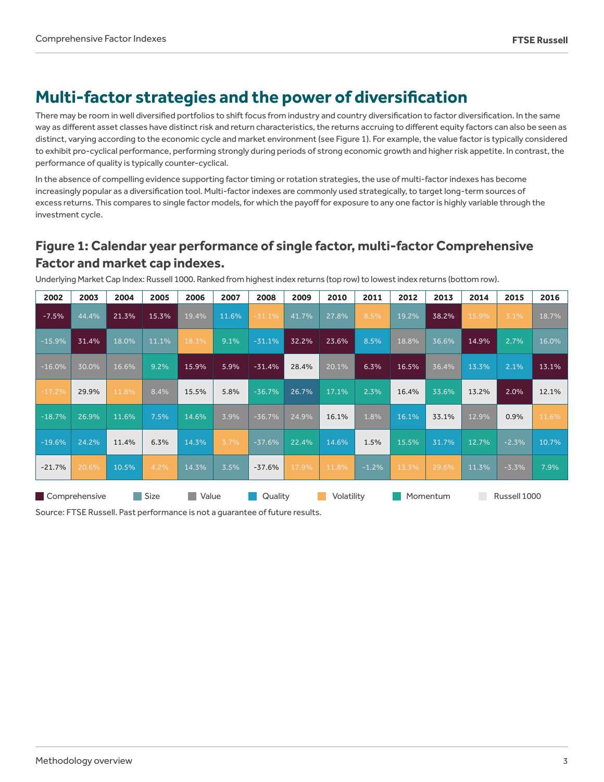# **Multi-factor strategies and the power of diversification**

There may be room in well diversified portfolios to shift focus from industry and country diversification to factor diversification. In the same way as different asset classes have distinct risk and return characteristics, the returns accruing to different equity factors can also be seen as distinct, varying according to the economic cycle and market environment (see Figure 1). For example, the value factor is typically considered to exhibit pro-cyclical performance, performing strongly during periods of strong economic growth and higher risk appetite. In contrast, the performance of quality is typically counter-cyclical.

In the absence of compelling evidence supporting factor timing or rotation strategies, the use of multi-factor indexes has become increasingly popular as a diversification tool. Multi-factor indexes are commonly used strategically, to target long-term sources of excess returns. This compares to single factor models, for which the payoff for exposure to any one factor is highly variable through the investment cycle.

### **Figure 1: Calendar year performance of single factor, multi-factor Comprehensive Factor and market cap indexes.**

| 2002                           | 2003  | 2004  | 2005  | 2006    | 2007  | 2008       | 2009  | 2010     | 2011    | 2012         | 2013  | 2014  | 2015    | 2016  |
|--------------------------------|-------|-------|-------|---------|-------|------------|-------|----------|---------|--------------|-------|-------|---------|-------|
| $-7.5%$                        | 44.4% | 21.3% | 15.3% | 19.4%   | 11.6% | $-31.1%$   | 41.7% | 27.8%    | 8.5%    | 19.2%        | 38.2% | 15.9% | 3.1%    | 18.7% |
| $-15.9%$                       | 31.4% | 18.0% | 11.1% | 18.3%   | 9.1%  | $-31.1%$   | 32.2% | 23.6%    | 8.5%    | 18.8%        | 36.6% | 14.9% | 2.7%    | 16.0% |
| $-16.0%$                       | 30.0% | 16.6% | 9.2%  | 15.9%   | 5.9%  | $-31.4%$   | 28.4% | 20.1%    | 6.3%    | 16.5%        | 36.4% | 13.3% | 2.1%    | 13.1% |
| $-17.2%$                       | 29.9% | 11.8% | 8.4%  | 15.5%   | 5.8%  | $-36.7%$   | 26.7% | 17.1%    | 2.3%    | 16.4%        | 33.6% | 13.2% | 2.0%    | 12.1% |
| $-18.7%$                       | 26.9% | 11.6% | 7.5%  | 14.6%   | 3.9%  | $-36.7%$   | 24.9% | 16.1%    | 1.8%    | 16.1%        | 33.1% | 12.9% | 0.9%    | 11.6% |
| $-19.6%$                       | 24.2% | 11.4% | 6.3%  | 14.3%   | 3.7%  | $-37.6%$   | 22.4% | 14.6%    | 1.5%    | 15.5%        | 31.7% | 12.7% | $-2.3%$ | 10.7% |
| $-21.7%$                       | 20.6% | 10.5% | 4.2%  | 14.3%   | 3.5%  | $-37.6%$   | 17.9% | 11.8%    | $-1.2%$ | 13.3%        | 29.6% | 11.3% | $-3.3%$ | 7.9%  |
| Size<br>Comprehensive<br>Value |       |       |       | Quality |       | Volatility |       | Momentum |         | Russell 1000 |       |       |         |       |

Underlying Market Cap Index: Russell 1000. Ranked from highest index returns (top row) to lowest index returns (bottom row).

Source: FTSE Russell. Past performance is not a guarantee of future results.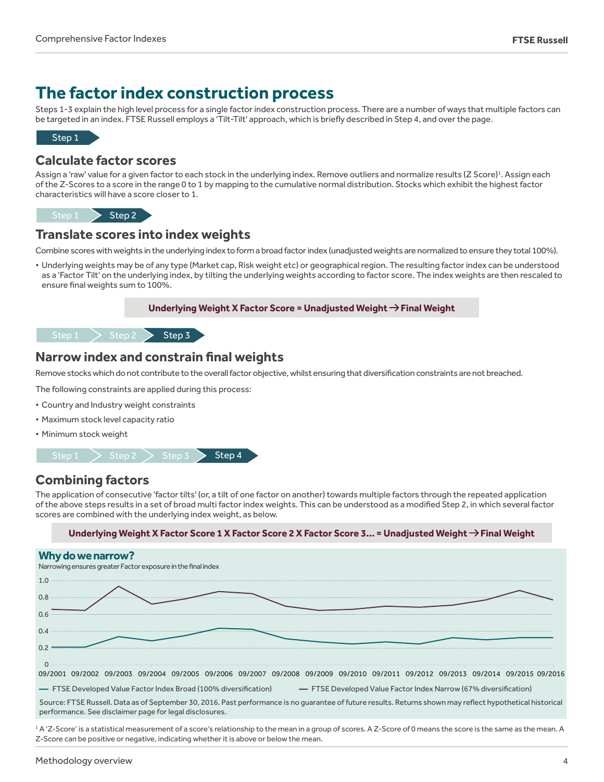# **The factor index construction process**

Steps 1-3 explain the high level process for a single factor index construction process. There are a number of ways that multiple factors can be targeted in an index. FTSE Russell employs a 'Tilt-Tilt' approach, which is briefly described in Step 4, and over the page.



#### **Calculate factor scores**

Assign a 'raw' value for a given factor to each stock in the underlying index. Remove outliers and normalize results (Z Score)<sup>1</sup>. Assign each of the Z-Scores to a score in the range 0 to 1 by mapping to the cumulative normal distribution. Stocks which exhibit the highest factor characteristics will have a score closer to 1.

Step  $1 \rightarrow$  Step 2

#### **Translate scores into index weights**

Combine scores with weights in the underlying index to form a broad factor index (unadjusted weights are normalized to ensure they total 100%).

• Underlying weights may be of any type (Market cap, Risk weight etc) or geographical region. The resulting factor index can be understood as a 'Factor Tilt' on the underlying index, by tilting the underlying weights according to factor score. The index weights are then rescaled to ensure final weights sum to 100%.



#### $Step 1$  > Step 2 > Step 3

### **Narrow index and constrain final weights**

Remove stocks which do not contribute to the overall factor objective, whilst ensuring that diversification constraints are not breached.

The following constraints are applied during this process:

- Country and Industry weight constraints
- Maximum stock level capacity ratio
- Minimum stock weight



### **Combining factors**

The application of consecutive 'factor tilts' (or, a tilt of one factor on another) towards multiple factors through the repeated application of the above steps results in a set of broad multi factor index weights. This can be understood as a modified Step 2, in which several factor scores are combined with the underlying index weight, as below.

#### **Underlying Weight X Factor Score 1 X Factor Score 2 X Factor Score 3… = Unadjusted Weight Final Weight**



performance. See disclaimer page for legal disclosures.

<sup>1</sup> A 'Z-Score' is a statistical measurement of a score's relationship to the mean in a group of scores. A Z-Score of 0 means the score is the same as the mean. A Z-Score can be positive or negative, indicating whether it is above or below the mean.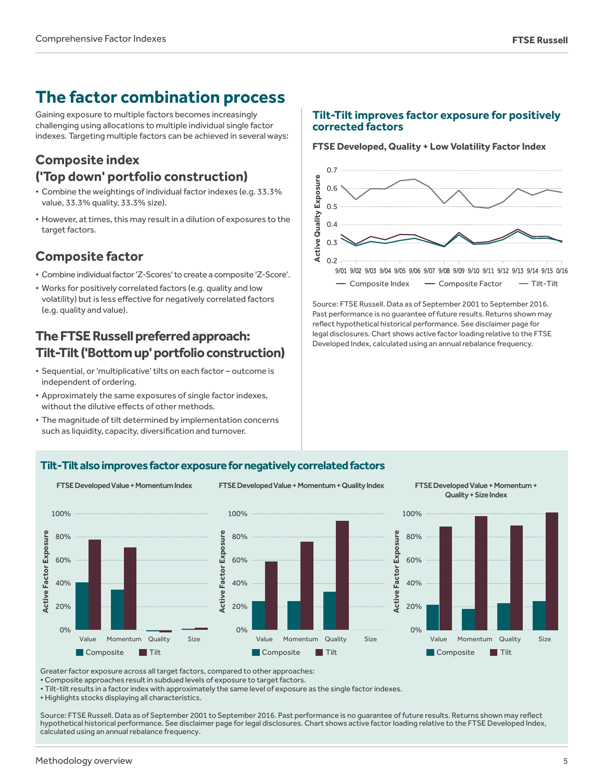# **The factor combination process**

Gaining exposure to multiple factors becomes increasingly challenging using allocations to multiple individual single factor indexes. Targeting multiple factors can be achieved in several ways:

### **Composite index ('Top down' portfolio construction)**

- Combine the weightings of individual factor indexes (e.g. 33.3% value, 33.3% quality, 33.3% size).
- However, at times, this may result in a dilution of exposures to the target factors.

### **Composite factor**

- Combine individual factor 'Z-Scores' to create a composite 'Z-Score'.
- Works for positively correlated factors (e.g. quality and low volatility) but is less effective for negatively correlated factors (e.g. quality and value).

## **The FTSE Russell preferred approach: Tilt-Tilt ('Bottom up' portfolio construction)**

- Sequential, or 'multiplicative' tilts on each factor outcome is independent of ordering.
- Approximately the same exposures of single factor indexes, without the dilutive effects of other methods.
- The magnitude of tilt determined by implementation concerns such as liquidity, capacity, diversification and turnover.

#### **Tilt-Tilt improves factor exposure for positively corrected factors**

#### **FTSE Developed, Quality + Low Volatility Factor Index**



Source: FTSE Russell. Data as of September 2001 to September 2016. Past performance is no guarantee of future results. Returns shown may reflect hypothetical historical performance. See disclaimer page for legal disclosures. Chart shows active factor loading relative to the FTSE Developed Index, calculated using an annual rebalance frequency.

#### **Tilt-Tilt also improves factor exposure for negatively correlated factors**







Greater factor exposure across all target factors, compared to other approaches:

• Composite approaches result in subdued levels of exposure to target factors.

• Tilt-tilt results in a factor index with approximately the same level of exposure as the single factor indexes.

• Highlights stocks displaying all characteristics.

Source: FTSE Russell. Data as of September 2001 to September 2016. Past performance is no guarantee of future results. Returns shown may reflect hypothetical historical performance. See disclaimer page for legal disclosures. Chart shows active factor loading relative to the FTSE Developed Index, calculated using an annual rebalance frequency.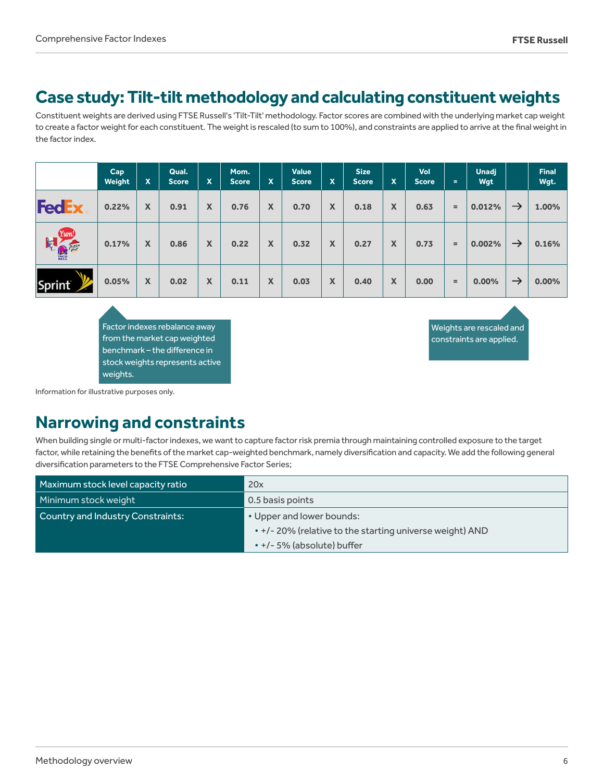# **Case study: Tilt-tilt methodology and calculating constituent weights**

Constituent weights are derived using FTSE Russell's 'Tilt-Tilt' methodology. Factor scores are combined with the underlying market cap weight to create a factor weight for each constituent. The weight is rescaled (to sum to 100%), and constraints are applied to arrive at the final weight in the factor index.

|                                    | Cap<br>Weight | X | Qual.<br><b>Score</b> | $\mathbf x$ | Mom.<br><b>Score</b> | $\mathbf x$ | <b>Value</b><br><b>Score</b> | X | <b>Size</b><br><b>Score</b> | $\mathbf x$ | Vol<br><b>Score</b> | $=$ | <b>Unadj</b><br>Wgt |               | <b>Final</b><br>Wgt. |
|------------------------------------|---------------|---|-----------------------|-------------|----------------------|-------------|------------------------------|---|-----------------------------|-------------|---------------------|-----|---------------------|---------------|----------------------|
| <b>FedEx</b>                       | 0.22%         | X | 0.91                  | X           | 0.76                 | X           | 0.70                         | X | 0.18                        | X           | 0.63                | $=$ | 0.012%              | $\rightarrow$ | 1.00%                |
| Yum!<br>电心障<br><b>TACO</b><br>BELL | 0.17%         | X | 0.86                  | X           | 0.22                 | X           | 0.32                         | X | 0.27                        | X           | 0.73                | $=$ | 0.002%              | $\rightarrow$ | 0.16%                |
| <b>Sprint</b>                      | 0.05%         | X | 0.02                  | X           | 0.11                 | X           | 0.03                         | X | 0.40                        | X           | 0.00                | $=$ | 0.00%               | $\rightarrow$ | $0.00\%$             |

Factor indexes rebalance away from the market cap weighted benchmark – the difference in stock weights represents active weights.

Weights are rescaled and constraints are applied.

Information for illustrative purposes only.

# **Narrowing and constraints**

When building single or multi-factor indexes, we want to capture factor risk premia through maintaining controlled exposure to the target factor, while retaining the benefits of the market cap-weighted benchmark, namely diversification and capacity. We add the following general diversification parameters to the FTSE Comprehensive Factor Series;

| Maximum stock level capacity ratio | 20x                                                      |  |  |  |  |  |
|------------------------------------|----------------------------------------------------------|--|--|--|--|--|
| Minimum stock weight               | 0.5 basis points                                         |  |  |  |  |  |
| Country and Industry Constraints:  | • Upper and lower bounds:                                |  |  |  |  |  |
|                                    | • +/- 20% (relative to the starting universe weight) AND |  |  |  |  |  |
|                                    | • +/- 5% (absolute) buffer                               |  |  |  |  |  |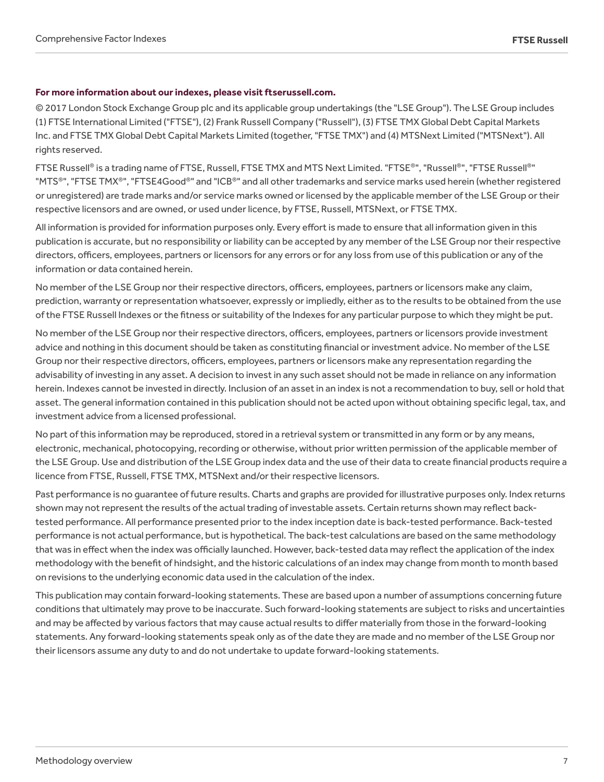#### **For more information about our indexes, please visit ftserussell.com.**

© 2017 London Stock Exchange Group plc and its applicable group undertakings (the "LSE Group"). The LSE Group includes (1) FTSE International Limited ("FTSE"), (2) Frank Russell Company ("Russell"), (3) FTSE TMX Global Debt Capital Markets Inc. and FTSE TMX Global Debt Capital Markets Limited (together, "FTSE TMX") and (4) MTSNext Limited ("MTSNext"). All rights reserved.

FTSE Russell® is a trading name of FTSE, Russell, FTSE TMX and MTS Next Limited. "FTSE®", "Russell®", "FTSE Russell®" "MTS®", "FTSE TMX®", "FTSE4Good®" and "ICB®" and all other trademarks and service marks used herein (whether registered or unregistered) are trade marks and/or service marks owned or licensed by the applicable member of the LSE Group or their respective licensors and are owned, or used under licence, by FTSE, Russell, MTSNext, or FTSE TMX.

All information is provided for information purposes only. Every effort is made to ensure that all information given in this publication is accurate, but no responsibility or liability can be accepted by any member of the LSE Group nor their respective directors, officers, employees, partners or licensors for any errors or for any loss from use of this publication or any of the information or data contained herein.

No member of the LSE Group nor their respective directors, officers, employees, partners or licensors make any claim, prediction, warranty or representation whatsoever, expressly or impliedly, either as to the results to be obtained from the use of the FTSE Russell Indexes or the fitness or suitability of the Indexes for any particular purpose to which they might be put.

No member of the LSE Group nor their respective directors, officers, employees, partners or licensors provide investment advice and nothing in this document should be taken as constituting financial or investment advice. No member of the LSE Group nor their respective directors, officers, employees, partners or licensors make any representation regarding the advisability of investing in any asset. A decision to invest in any such asset should not be made in reliance on any information herein. Indexes cannot be invested in directly. Inclusion of an asset in an index is not a recommendation to buy, sell or hold that asset. The general information contained in this publication should not be acted upon without obtaining specific legal, tax, and investment advice from a licensed professional.

No part of this information may be reproduced, stored in a retrieval system or transmitted in any form or by any means, electronic, mechanical, photocopying, recording or otherwise, without prior written permission of the applicable member of the LSE Group. Use and distribution of the LSE Group index data and the use of their data to create financial products require a licence from FTSE, Russell, FTSE TMX, MTSNext and/or their respective licensors.

Past performance is no guarantee of future results. Charts and graphs are provided for illustrative purposes only. Index returns shown may not represent the results of the actual trading of investable assets. Certain returns shown may reflect backtested performance. All performance presented prior to the index inception date is back-tested performance. Back-tested performance is not actual performance, but is hypothetical. The back-test calculations are based on the same methodology that was in effect when the index was officially launched. However, back-tested data may reflect the application of the index methodology with the benefit of hindsight, and the historic calculations of an index may change from month to month based on revisions to the underlying economic data used in the calculation of the index.

This publication may contain forward-looking statements. These are based upon a number of assumptions concerning future conditions that ultimately may prove to be inaccurate. Such forward-looking statements are subject to risks and uncertainties and may be affected by various factors that may cause actual results to differ materially from those in the forward-looking statements. Any forward-looking statements speak only as of the date they are made and no member of the LSE Group nor their licensors assume any duty to and do not undertake to update forward-looking statements.